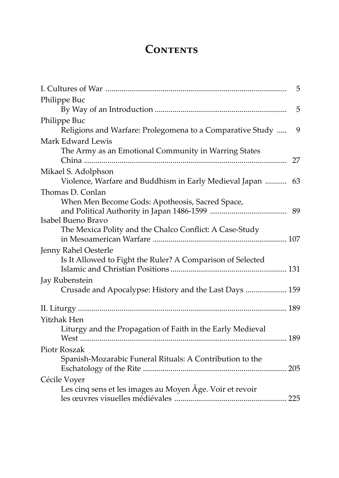## CONTENTS

| 5                                                              |
|----------------------------------------------------------------|
| Philippe Buc                                                   |
| 5                                                              |
| Philippe Buc                                                   |
| Religions and Warfare: Prolegomena to a Comparative Study<br>9 |
| Mark Edward Lewis                                              |
| The Army as an Emotional Community in Warring States           |
| 27                                                             |
| Mikael S. Adolphson                                            |
| Violence, Warfare and Buddhism in Early Medieval Japan<br>63   |
| Thomas D. Conlan                                               |
| When Men Become Gods: Apotheosis, Sacred Space,                |
|                                                                |
| Isabel Bueno Bravo                                             |
| The Mexica Polity and the Chalco Conflict: A Case-Study        |
|                                                                |
| Jenny Rahel Oesterle                                           |
| Is It Allowed to Fight the Ruler? A Comparison of Selected     |
|                                                                |
| Jay Rubenstein                                                 |
| Crusade and Apocalypse: History and the Last Days  159         |
|                                                                |
| Yitzhak Hen                                                    |
| Liturgy and the Propagation of Faith in the Early Medieval     |
|                                                                |
| Piotr Roszak                                                   |
| Spanish-Mozarabic Funeral Rituals: A Contribution to the       |
|                                                                |
| Cécile Voyer                                                   |
| Les cinq sens et les images au Moyen Âge. Voir et revoir       |
|                                                                |